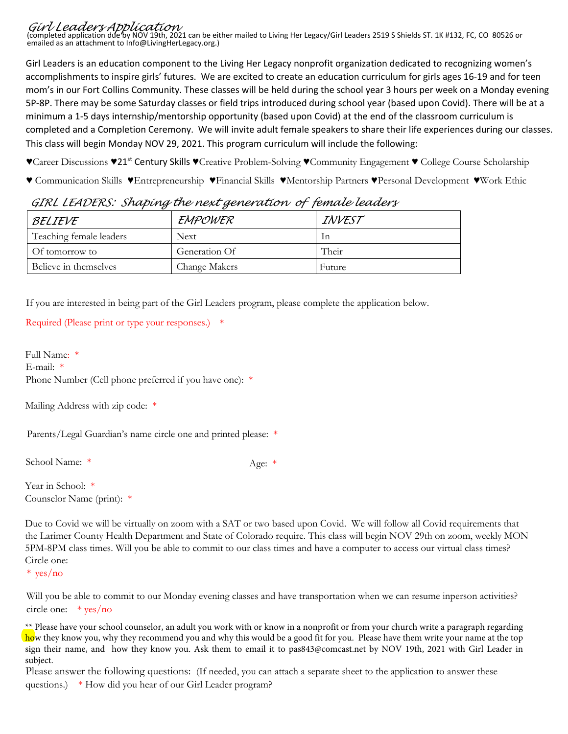*Girl Leaders Application*  (completed application due by NOV 19th, 2021 can be either mailed to Living Her Legacy/Girl Leaders 2519 S Shields ST. 1K #132, FC, CO 80526 or emailed as an attachment to Info@LivingHerLegacy.org.)

Girl Leaders is an education component to the Living Her Legacy nonprofit organization dedicated to recognizing women's accomplishments to inspire girls' futures. We are excited to create an education curriculum for girls ages 16-19 and for teen mom's in our Fort Collins Community. These classes will be held during the school year 3 hours per week on a Monday evening 5P-8P. There may be some Saturday classes or field trips introduced during school year (based upon Covid). There will be at a minimum a 1-5 days internship/mentorship opportunity (based upon Covid) at the end of the classroom curriculum is completed and a Completion Ceremony. We will invite adult female speakers to share their life experiences during our classes. This class will begin Monday NOV 29, 2021. This program curriculum will include the following:

♥Career Discussions ♥21st Century Skills ♥Creative Problem-Solving ♥Community Engagement ♥ College Course Scholarship

♥ Communication Skills ♥Entrepreneurship ♥Financial Skills ♥Mentorship Partners ♥Personal Development ♥Work Ethic

| BELIEVE                 | EMPOWER              | INVEST |
|-------------------------|----------------------|--------|
| Teaching female leaders | <b>Next</b>          | In     |
| Of tomorrow to          | Generation Of        | Their  |
| Believe in themselves   | <b>Change Makers</b> | Future |

*GIRL LEADERS: Shaping the next generation of female leaders* 

If you are interested in being part of the Girl Leaders program, please complete the application below.

```
Required (Please print or type your responses.) *
```
Full Name: \* E-mail: \* Phone Number (Cell phone preferred if you have one): \*

Mailing Address with zip code: \*

Parents/Legal Guardian's name circle one and printed please: \*

School Name: \* Age: \*

Year in School: \* Counselor Name (print): \*

Due to Covid we will be virtually on zoom with a SAT or two based upon Covid. We will follow all Covid requirements that the Larimer County Health Department and State of Colorado require. This class will begin NOV 29th on zoom, weekly MON 5PM-8PM class times. Will you be able to commit to our class times and have a computer to access our virtual class times? Circle one:

\* yes/no

Will you be able to commit to our Monday evening classes and have transportation when we can resume inperson activities? circle one: \* yes/no

\*\* Please have your school counselor, an adult you work with or know in a nonprofit or from your church write a paragraph regarding how they know you, why they recommend you and why this would be a good fit for you. Please have them write your name at the top sign their name, and how they know you. Ask them to email it to pas843@comcast.net by NOV 19th, 2021 with Girl Leader in subject.

Please answer the following questions: (If needed, you can attach a separate sheet to the application to answer these questions.) \* How did you hear of our Girl Leader program?